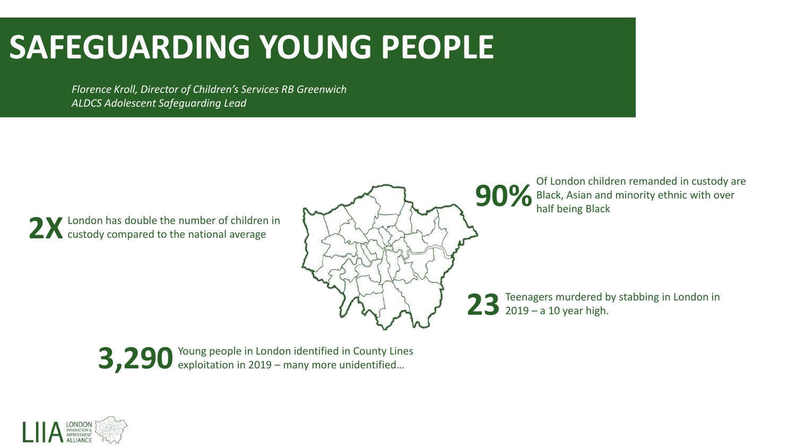## **SAFEGUARDING YOUNG PEOPLE**

*Florence Kroll, Director of Children's Services RB Greenwich ALDCS Adolescent Safeguarding Lead*

**2X**London has double the number of children in custody compared to the national average



**90%** Of London children remanded in custody are Black, Asian and minority ethnic with over Black, Asian and minority ethnic with over half being Black

23 Teenagers murdered by stabbing in London in<br>23 2019 – a 10 year high.



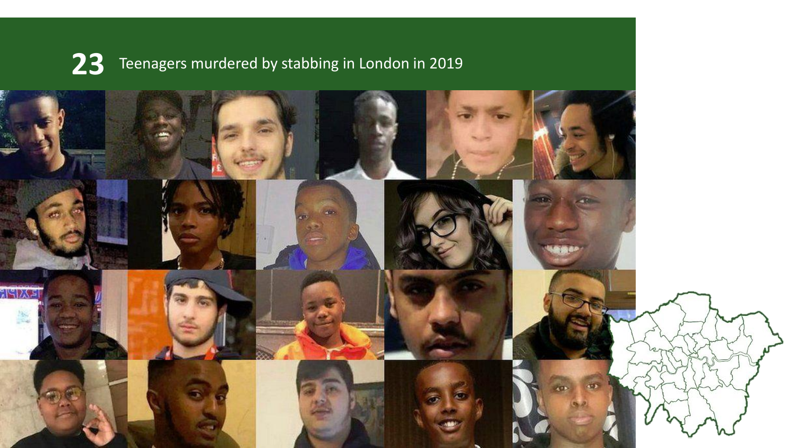

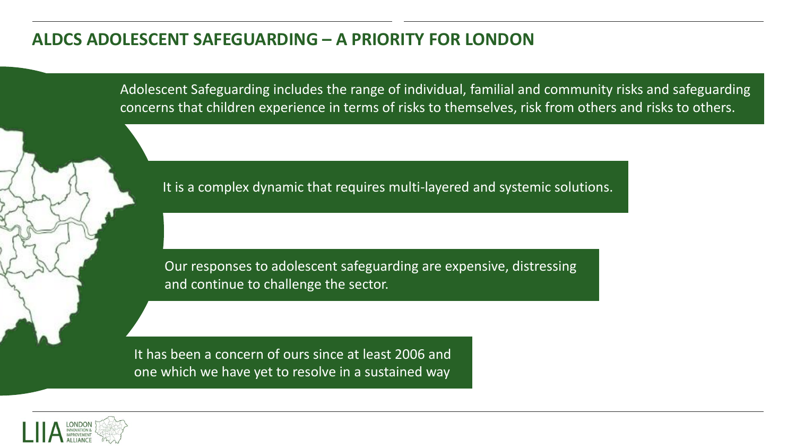#### **ALDCS ADOLESCENT SAFEGUARDING – A PRIORITY FOR LONDON**

Adolescent Safeguarding includes the range of individual, familial and community risks and safeguarding concerns that children experience in terms of risks to themselves, risk from others and risks to others.

It is a complex dynamic that requires multi-layered and systemic solutions.

Our responses to adolescent safeguarding are expensive, distressing and continue to challenge the sector.

It has been a concern of ours since at least 2006 and one which we have yet to resolve in a sustained way

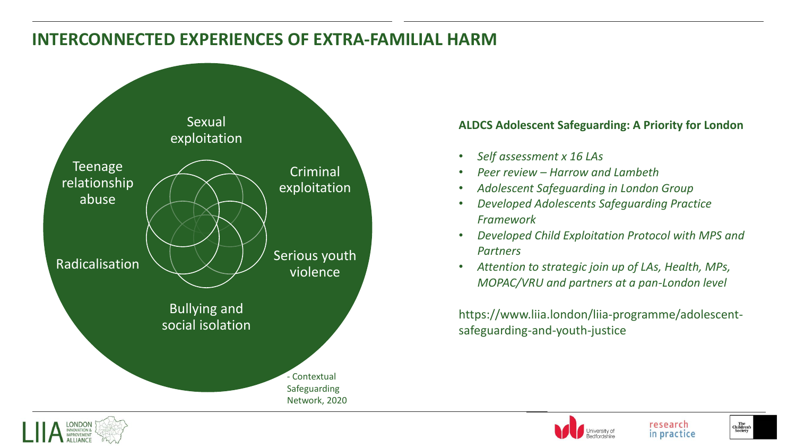#### **INTERCONNECTED EXPERIENCES OF EXTRA-FAMILIAL HARM**



#### **ALDCS Adolescent Safeguarding: A Priority for London**

- *Self assessment x 16 LAs*
- *Peer review – Harrow and Lambeth*
- *Adolescent Safeguarding in London Group*
- *Developed Adolescents Safeguarding Practice Framework*
- *Developed Child Exploitation Protocol with MPS and Partners*
- *Attention to strategic join up of LAs, Health, MPs, MOPAC/VRU and partners at a pan-London level*

https://www.liia.london/liia-programme/adolescentsafeguarding-and-youth-justice



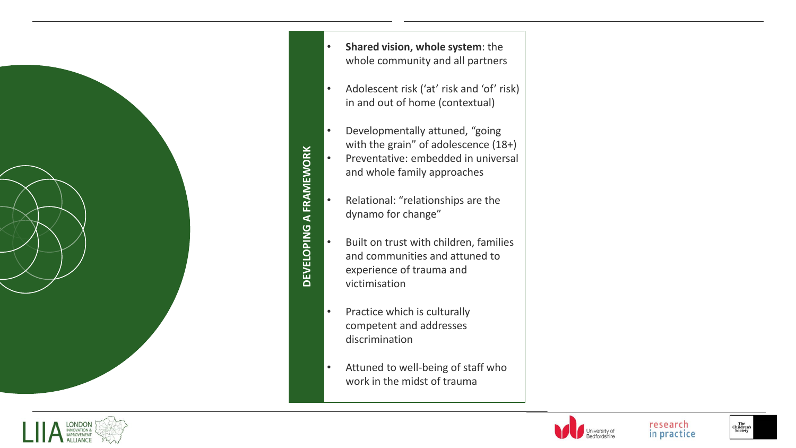

- **Shared vision, whole system**: the whole community and all partners • Adolescent risk ('at' risk and 'of' risk) in and out of home (contextual) • Developmentally attuned, "going with the grain" of adolescence (18+) • Preventative: embedded in universal
- Relational: "relationships are the dynamo for change"

and whole family approaches

**DEVELOPING A FRAMEWORK**

**DEVELOPING** 

**A FRAMEWORK** 

- Built on trust with children, families and communities and attuned to experience of trauma and victimisation
- Practice which is culturally competent and addresses discrimination
- Attuned to well -being of staff who work in the midst of trauma



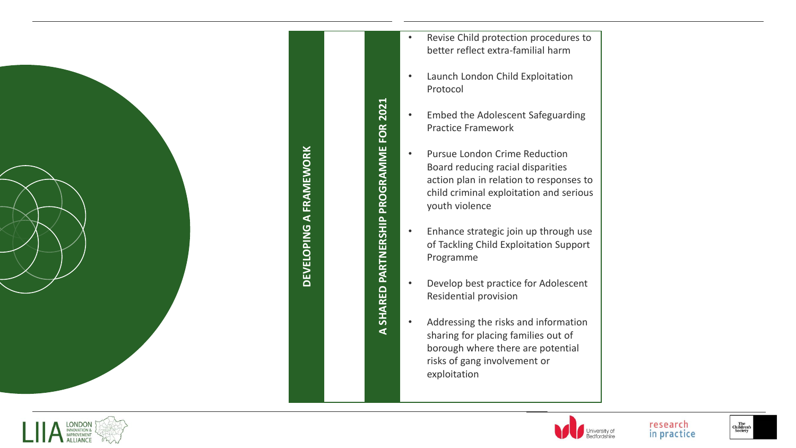

# DEVELOPING A FRAMEWORK **DEVELOPING A FRAMEWORK**

A SHARED PARTNERSHIP PROGRAMME FOR 2021 **A SHARED PARTNERSHIP PROGRAMME FOR 2021**

- Revise Child protection procedures to better reflect extra -familial harm
- Launch London Child Exploitation Protocol
- Embed the Adolescent Safeguarding Practice Framework
- Pursue London Crime Reduction Board reducing racial disparities action plan in relation to responses to child criminal exploitation and serious youth violence
- Enhance strategic join up through use of Tackling Child Exploitation Support Programme
- Develop best practice for Adolescent Residential provision
- Addressing the risks and information sharing for placing families out of borough where there are potential risks of gang involvement or exploitation





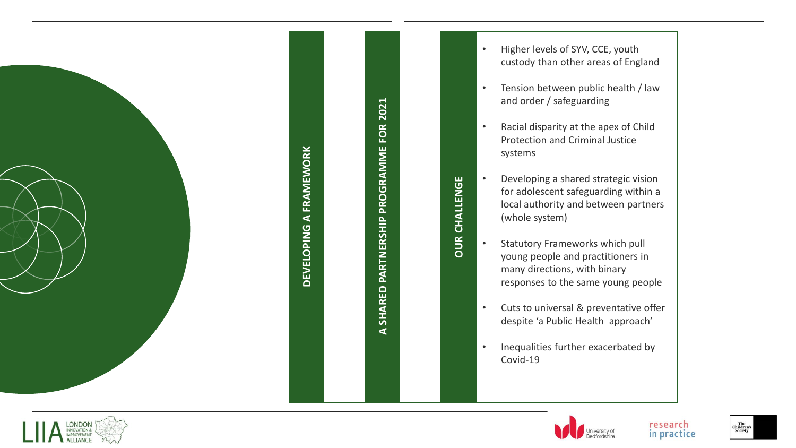

# DEVELOPING A FRAMEWORK **DEVELOPING A FRAMEWORK**

A SHARED PARTNERSHIP PROGRAMME FOR 2021 **A SHARED PARTNERSHIP PROGRAMME FOR 2021**

**OUR CHALLENGE**

**OUR CHALLENGE** 

- Higher levels of SYV, CCE, youth custody than other areas of England
- Tension between public health / law and order / safeguarding
- Racial disparity at the apex of Child Protection and Criminal Justice systems
- Developing a shared strategic vision for adolescent safeguarding within a local authority and between partners (whole system)
- Statutory Frameworks which pull young people and practitioners in many directions, with binary responses to the same young people
- Cuts to universal & preventative offer despite 'a Public Health approach'
- Inequalities further exacerbated by Covid -19



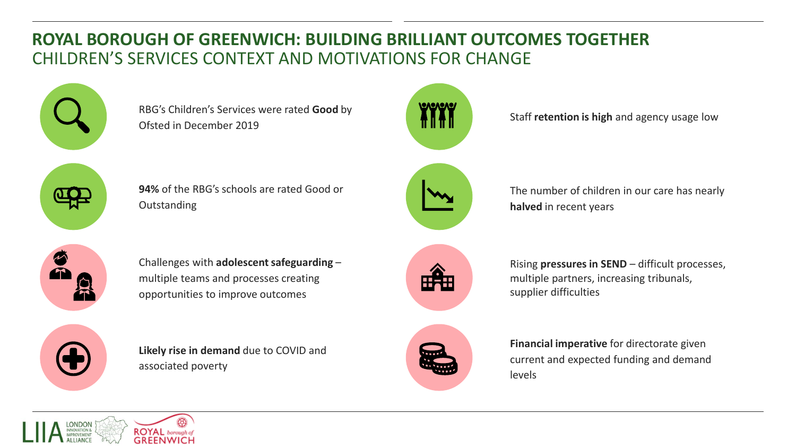### **ROYAL BOROUGH OF GREENWICH: BUILDING BRILLIANT OUTCOMES TOGETHER**  CHILDREN'S SERVICES CONTEXT AND MOTIVATIONS FOR CHANGE



RBG's Children's Services were rated **Good** by Ofsted in December 2019



Staff **retention is high** and agency usage low



**94%** of the RBG's schools are rated Good or **Outstanding** 



The number of children in our care has nearly **halved** in recent years



Challenges with **adolescent safeguarding** – multiple teams and processes creating opportunities to improve outcomes



**Likely rise in demand** due to COVID and associated poverty



Rising **pressures in SEND** – difficult processes, multiple partners, increasing tribunals, supplier difficulties



**Financial imperative** for directorate given current and expected funding and demand levels

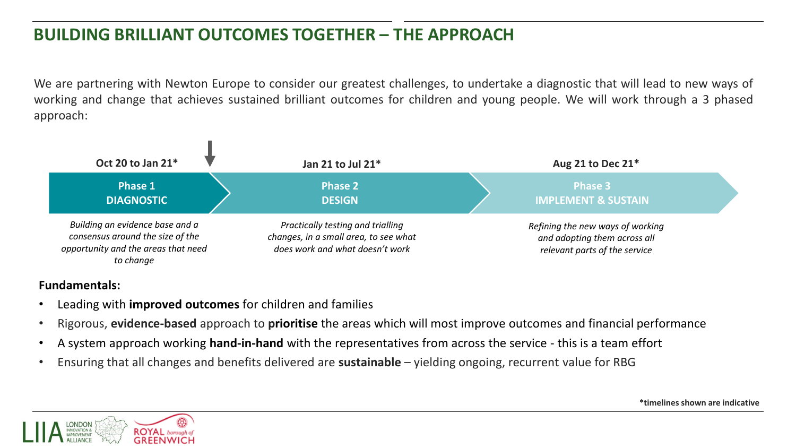### **BUILDING BRILLIANT OUTCOMES TOGETHER – THE APPROACH**

We are partnering with Newton Europe to consider our greatest challenges, to undertake a diagnostic that will lead to new ways of working and change that achieves sustained brilliant outcomes for children and young people. We will work through a 3 phased approach:



#### **Fundamentals:**

- Leading with **improved outcomes** for children and families
- Rigorous, **evidence-based** approach to **prioritise** the areas which will most improve outcomes and financial performance
- A system approach working **hand-in-hand** with the representatives from across the service this is a team effort
- Ensuring that all changes and benefits delivered are **sustainable** yielding ongoing, recurrent value for RBG



**\*timelines shown are indicative**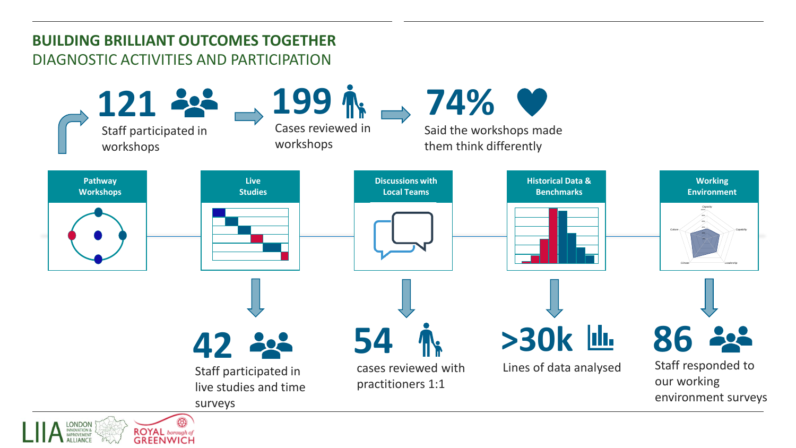#### **BUILDING BRILLIANT OUTCOMES TOGETHER** DIAGNOSTIC ACTIVITIES AND PARTICIPATION

**GREENWICH** 

**ALLIANCE** 

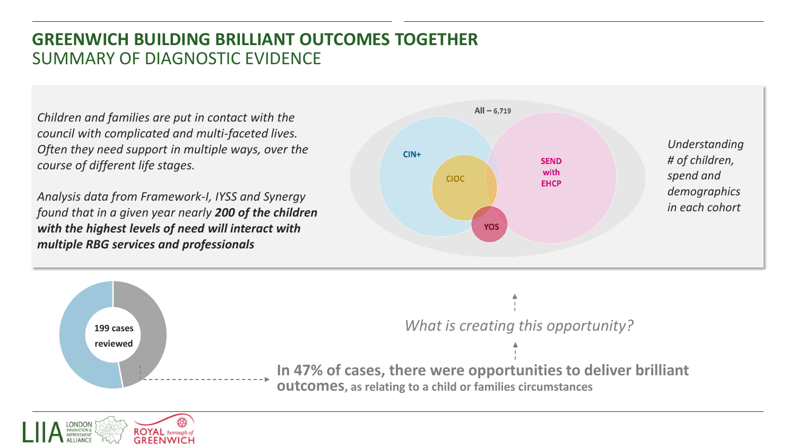#### **GREENWICH BUILDING BRILLIANT OUTCOMES TOGETHER** SUMMARY OF DIAGNOSTIC EVIDENCE

*Children and families are put in contact with the council with complicated and multi-faceted lives. Often they need support in multiple ways, over the course of different life stages.* 

*Analysis data from Framework-I, IYSS and Synergy found that in a given year nearly 200 of the children with the highest levels of need will interact with multiple RBG services and professionals*





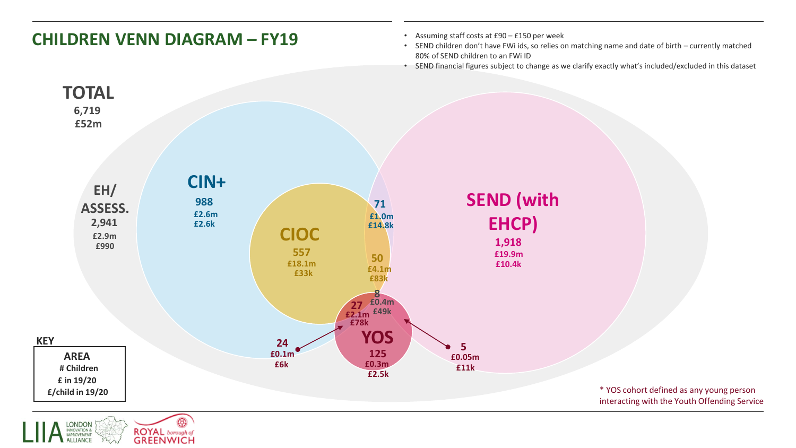

ඹ LONDON<br>INNOVATION &<br>IMPROVEMENT **ROYAL** borough of<br>**GREENWICH ALLIANCE**